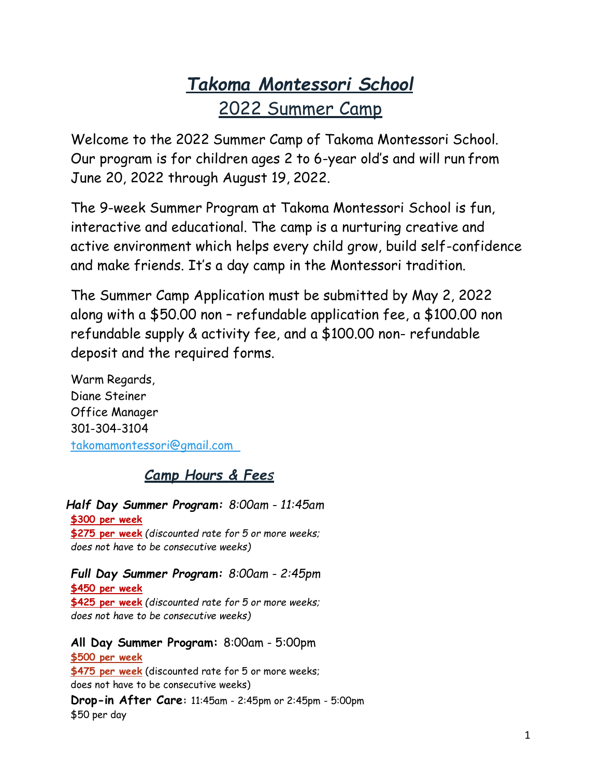## *Takoma Montessori School* 2022 Summer Camp

Welcome to the 2022 Summer Camp of Takoma Montessori School. Our program is for children ages 2 to 6-year old's and will run from June 20, 2022 through August 19, 2022.

The 9-week Summer Program at Takoma Montessori School is fun, interactive and educational. The camp is a nurturing creative and active environment which helps every child grow, build self-confidence and make friends. It's a day camp in the Montessori tradition.

The Summer Camp Application must be submitted by May 2, 2022 along with a \$50.00 non – refundable application fee, a \$100.00 non refundable supply & activity fee, and a \$100.00 non- refundable deposit and the required forms.

Warm Regards, Diane Steiner Office Manager 301-304-3104 [takomamontessori@gmail.com](mailto:takomamontessori@gmail.com) 

## *Camp Hours & Fees*

*Half Day Summer Program: 8:00am - 11:45am* **\$300 per week \$275 per week** *(discounted rate for 5 or more weeks; does not have to be consecutive weeks)*

*Full Day Summer Program: 8:00am - 2:45pm* **\$450 per week \$425 per week** *(discounted rate for 5 or more weeks; does not have to be consecutive weeks)*

**All Day Summer Program:** 8:00am - 5:00pm **\$500 per week**

**\$475 per week** (discounted rate for 5 or more weeks; does not have to be consecutive weeks)

**Drop-in After Care:** 11:45am - 2:45pm or 2:45pm - 5:00pm \$50 per day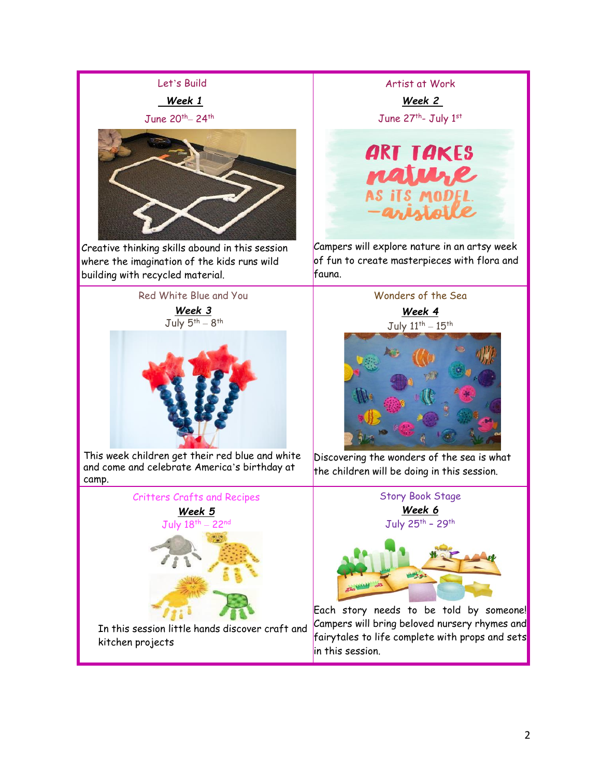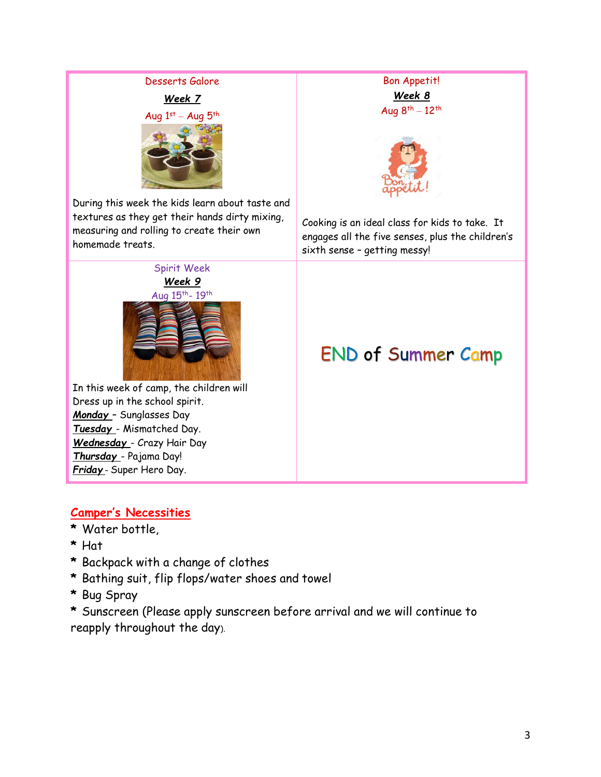

## **Camper's Necessities**

- **\*** Water bottle,
- **\*** Hat
- **\*** Backpack with a change of clothes
- **\*** Bathing suit, flip flops/water shoes and towel
- **\*** Bug Spray

**\*** Sunscreen (Please apply sunscreen before arrival and we will continue to reapply throughout the day).